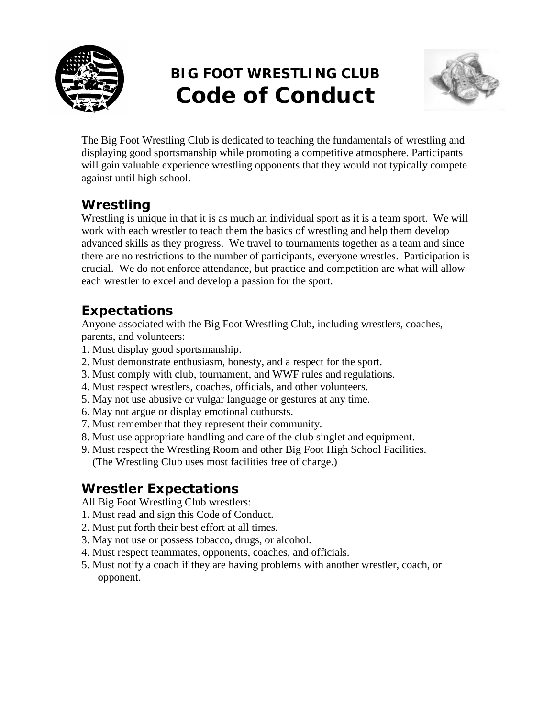

# **BIG FOOT WRESTLING CLUB Code of Conduct**



The Big Foot Wrestling Club is dedicated to teaching the fundamentals of wrestling and displaying good sportsmanship while promoting a competitive atmosphere. Participants will gain valuable experience wrestling opponents that they would not typically compete against until high school.

## *Wrestling*

Wrestling is unique in that it is as much an individual sport as it is a team sport. We will work with each wrestler to teach them the basics of wrestling and help them develop advanced skills as they progress. We travel to tournaments together as a team and since there are no restrictions to the number of participants, everyone wrestles. Participation is crucial. We do not enforce attendance, but practice and competition are what will allow each wrestler to excel and develop a passion for the sport.

### *Expectations*

Anyone associated with the Big Foot Wrestling Club, including wrestlers, coaches, parents, and volunteers:

- 1. Must display good sportsmanship.
- 2. Must demonstrate enthusiasm, honesty, and a respect for the sport.
- 3. Must comply with club, tournament, and WWF rules and regulations.
- 4. Must respect wrestlers, coaches, officials, and other volunteers.
- 5. May not use abusive or vulgar language or gestures at any time.
- 6. May not argue or display emotional outbursts.
- 7. Must remember that they represent their community.
- 8. Must use appropriate handling and care of the club singlet and equipment.
- 9. Must respect the Wrestling Room and other Big Foot High School Facilities. (The Wrestling Club uses most facilities free of charge.)

# *Wrestler Expectations*

All Big Foot Wrestling Club wrestlers:

- 1. Must read and sign this Code of Conduct.
- 2. Must put forth their best effort at all times.
- 3. May not use or possess tobacco, drugs, or alcohol.
- 4. Must respect teammates, opponents, coaches, and officials.
- 5. Must notify a coach if they are having problems with another wrestler, coach, or opponent.